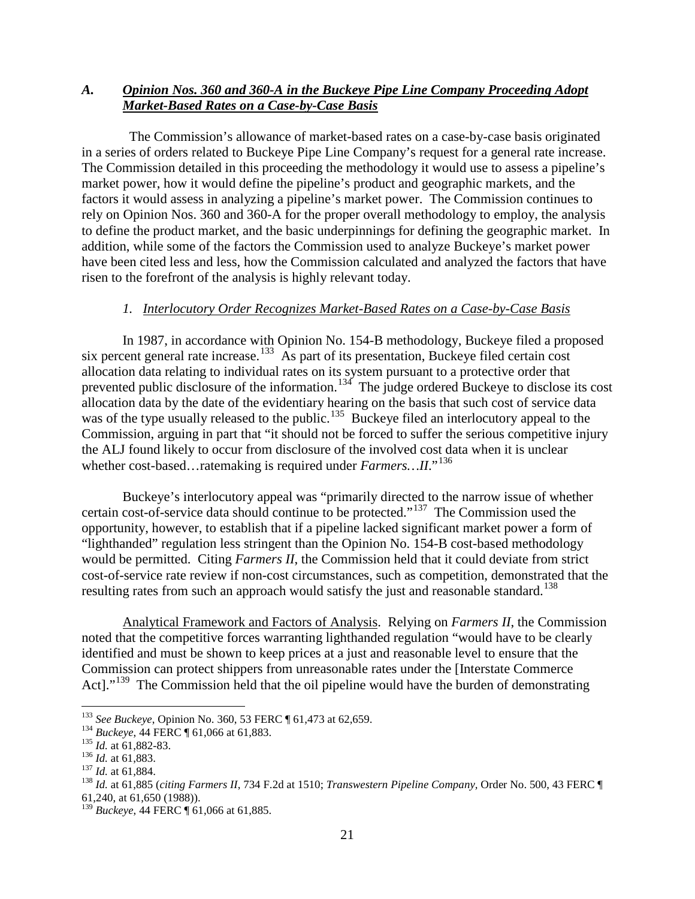# *A. Opinion Nos. 360 and 360-A in the Buckeye Pipe Line Company Proceeding Adopt Market-Based Rates on a Case-by-Case Basis*

 The Commission's allowance of market-based rates on a case-by-case basis originated in a series of orders related to Buckeye Pipe Line Company's request for a general rate increase. The Commission detailed in this proceeding the methodology it would use to assess a pipeline's market power, how it would define the pipeline's product and geographic markets, and the factors it would assess in analyzing a pipeline's market power. The Commission continues to rely on Opinion Nos. 360 and 360-A for the proper overall methodology to employ, the analysis to define the product market, and the basic underpinnings for defining the geographic market. In addition, while some of the factors the Commission used to analyze Buckeye's market power have been cited less and less, how the Commission calculated and analyzed the factors that have risen to the forefront of the analysis is highly relevant today.

#### *1. Interlocutory Order Recognizes Market-Based Rates on a Case-by-Case Basis*

In 1987, in accordance with Opinion No. 154-B methodology, Buckeye filed a proposed six percent general rate increase.<sup>133</sup> As part of its presentation, Buckeye filed certain cost allocation data relating to individual rates on its system pursuant to a protective order that prevented public disclosure of the information.<sup>[134](#page-0-1)</sup> The judge ordered Buckeye to disclose its cost allocation data by the date of the evidentiary hearing on the basis that such cost of service data was of the type usually released to the public.<sup>[135](#page-0-2)</sup> Buckeye filed an interlocutory appeal to the Commission, arguing in part that "it should not be forced to suffer the serious competitive injury the ALJ found likely to occur from disclosure of the involved cost data when it is unclear whether cost-based...ratemaking is required under *Farmers*...II."<sup>[136](#page-0-3)</sup>

Buckeye's interlocutory appeal was "primarily directed to the narrow issue of whether certain cost-of-service data should continue to be protected."[137](#page-0-4) The Commission used the opportunity, however, to establish that if a pipeline lacked significant market power a form of "lighthanded" regulation less stringent than the Opinion No. 154-B cost-based methodology would be permitted. Citing *Farmers II*, the Commission held that it could deviate from strict cost-of-service rate review if non-cost circumstances, such as competition, demonstrated that the resulting rates from such an approach would satisfy the just and reasonable standard.<sup>[138](#page-0-5)</sup>

Analytical Framework and Factors of Analysis. Relying on *Farmers II*, the Commission noted that the competitive forces warranting lighthanded regulation "would have to be clearly identified and must be shown to keep prices at a just and reasonable level to ensure that the Commission can protect shippers from unreasonable rates under the [Interstate Commerce Actl."<sup>[139](#page-0-6)</sup> The Commission held that the oil pipeline would have the burden of demonstrating

<span id="page-0-2"></span>

<span id="page-0-3"></span>

<span id="page-0-5"></span><span id="page-0-4"></span>

<span id="page-0-1"></span><span id="page-0-0"></span><sup>&</sup>lt;sup>133</sup> See Buckeye, Opinion No. 360, 53 FERC ¶ 61,473 at 62,659.<br><sup>134</sup> Buckeye, 44 FERC ¶ 61,066 at 61,883.<br><sup>135</sup> Id. at 61,882-83.<br><sup>136</sup> Id. at 61,884.<br><sup>137</sup> Id. at 61,885 (citing Farmers II, 734 F.2d at 1510; *Transweste* 61,240, at 61,650 (1988)).

<span id="page-0-6"></span><sup>139</sup> *Buckeye*, 44 FERC ¶ 61,066 at 61,885.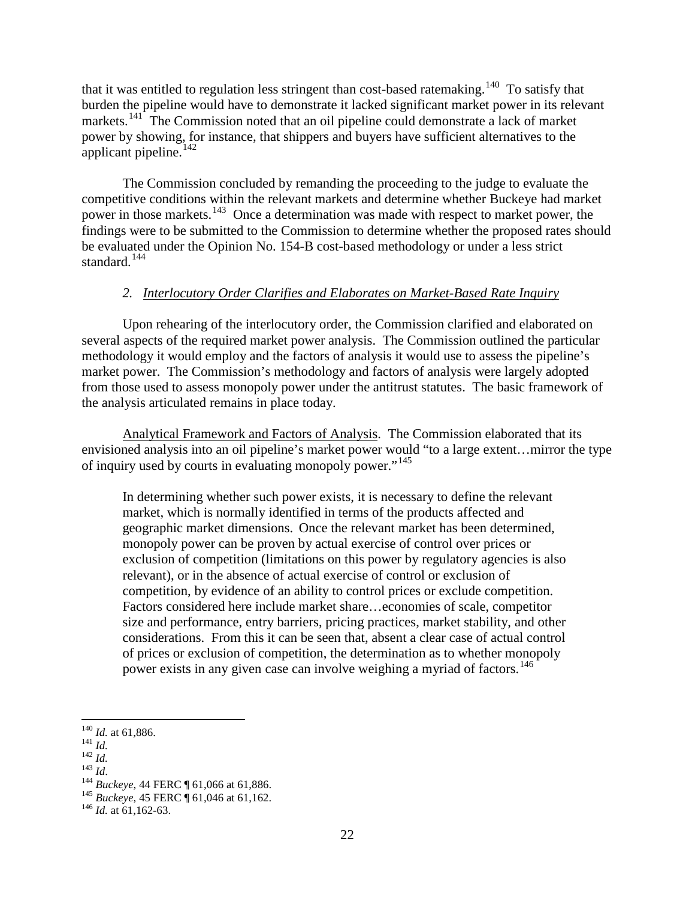that it was entitled to regulation less stringent than cost-based ratemaking.<sup>[140](#page-1-0)</sup> To satisfy that burden the pipeline would have to demonstrate it lacked significant market power in its relevant markets.<sup>141</sup> The Commission noted that an oil pipeline could demonstrate a lack of market power by showing, for instance, that shippers and buyers have sufficient alternatives to the applicant pipeline. $142$ 

The Commission concluded by remanding the proceeding to the judge to evaluate the competitive conditions within the relevant markets and determine whether Buckeye had market power in those markets.<sup>[143](#page-1-3)</sup> Once a determination was made with respect to market power, the findings were to be submitted to the Commission to determine whether the proposed rates should be evaluated under the Opinion No. 154-B cost-based methodology or under a less strict standard. $144$ 

## *2. Interlocutory Order Clarifies and Elaborates on Market-Based Rate Inquiry*

Upon rehearing of the interlocutory order, the Commission clarified and elaborated on several aspects of the required market power analysis. The Commission outlined the particular methodology it would employ and the factors of analysis it would use to assess the pipeline's market power. The Commission's methodology and factors of analysis were largely adopted from those used to assess monopoly power under the antitrust statutes. The basic framework of the analysis articulated remains in place today.

Analytical Framework and Factors of Analysis. The Commission elaborated that its envisioned analysis into an oil pipeline's market power would "to a large extent…mirror the type of inquiry used by courts in evaluating monopoly power."<sup>[145](#page-1-5)</sup>

In determining whether such power exists, it is necessary to define the relevant market, which is normally identified in terms of the products affected and geographic market dimensions. Once the relevant market has been determined, monopoly power can be proven by actual exercise of control over prices or exclusion of competition (limitations on this power by regulatory agencies is also relevant), or in the absence of actual exercise of control or exclusion of competition, by evidence of an ability to control prices or exclude competition. Factors considered here include market share…economies of scale, competitor size and performance, entry barriers, pricing practices, market stability, and other considerations. From this it can be seen that, absent a clear case of actual control of prices or exclusion of competition, the determination as to whether monopoly power exists in any given case can involve weighing a myriad of factors.<sup>[146](#page-1-6)</sup>

- <span id="page-1-2"></span>
- <span id="page-1-4"></span><span id="page-1-3"></span>

<span id="page-1-1"></span><span id="page-1-0"></span><sup>1&</sup>lt;sup>40</sup> *Id.* at 61,886.<br>
<sup>142</sup> *Id.*<br>
<sup>142</sup> *Id.*<br>
<sup>143</sup> *Buckeye*, 44 FERC ¶ 61,066 at 61,886.<br>
<sup>145</sup> *Buckeye*, 45 FERC ¶ 61,046 at 61,162.<br>
<sup>146</sup> *Id.* at 61,162-63.

<span id="page-1-5"></span>

<span id="page-1-6"></span>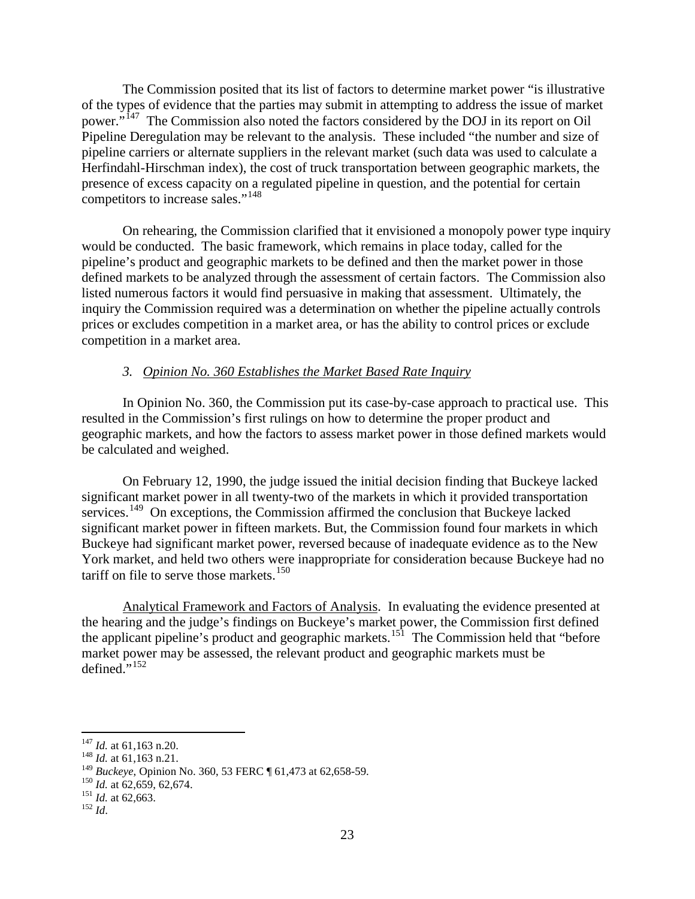The Commission posited that its list of factors to determine market power "is illustrative of the types of evidence that the parties may submit in attempting to address the issue of market power."[147](#page-2-0) The Commission also noted the factors considered by the DOJ in its report on Oil Pipeline Deregulation may be relevant to the analysis. These included "the number and size of pipeline carriers or alternate suppliers in the relevant market (such data was used to calculate a Herfindahl-Hirschman index), the cost of truck transportation between geographic markets, the presence of excess capacity on a regulated pipeline in question, and the potential for certain competitors to increase sales."[148](#page-2-1)

On rehearing, the Commission clarified that it envisioned a monopoly power type inquiry would be conducted. The basic framework, which remains in place today, called for the pipeline's product and geographic markets to be defined and then the market power in those defined markets to be analyzed through the assessment of certain factors. The Commission also listed numerous factors it would find persuasive in making that assessment. Ultimately, the inquiry the Commission required was a determination on whether the pipeline actually controls prices or excludes competition in a market area, or has the ability to control prices or exclude competition in a market area.

## *3. Opinion No. 360 Establishes the Market Based Rate Inquiry*

In Opinion No. 360, the Commission put its case-by-case approach to practical use. This resulted in the Commission's first rulings on how to determine the proper product and geographic markets, and how the factors to assess market power in those defined markets would be calculated and weighed.

On February 12, 1990, the judge issued the initial decision finding that Buckeye lacked significant market power in all twenty-two of the markets in which it provided transportation services.<sup>[149](#page-2-2)</sup> On exceptions, the Commission affirmed the conclusion that Buckeye lacked significant market power in fifteen markets. But, the Commission found four markets in which Buckeye had significant market power, reversed because of inadequate evidence as to the New York market, and held two others were inappropriate for consideration because Buckeye had no tariff on file to serve those markets.<sup>150</sup>

Analytical Framework and Factors of Analysis. In evaluating the evidence presented at the hearing and the judge's findings on Buckeye's market power, the Commission first defined the applicant pipeline's product and geographic markets.[151](#page-2-4) The Commission held that "before market power may be assessed, the relevant product and geographic markets must be defined. $152$ 

<span id="page-2-1"></span><span id="page-2-0"></span><sup>147</sup> *Id.* at 61,163 n.20. <sup>148</sup> *Id.* at 61,163 n.21.

<span id="page-2-4"></span><span id="page-2-3"></span><span id="page-2-2"></span><sup>&</sup>lt;sup>149</sup> *Buckeye*, Opinion No. 360, 53 FERC ¶ 61,473 at 62,658-59.<br><sup>150</sup> *Id.* at 62,659, 62,674.<br><sup>151</sup> *Id.* at 62,663.<br><sup>152</sup> *Id* 

<span id="page-2-5"></span>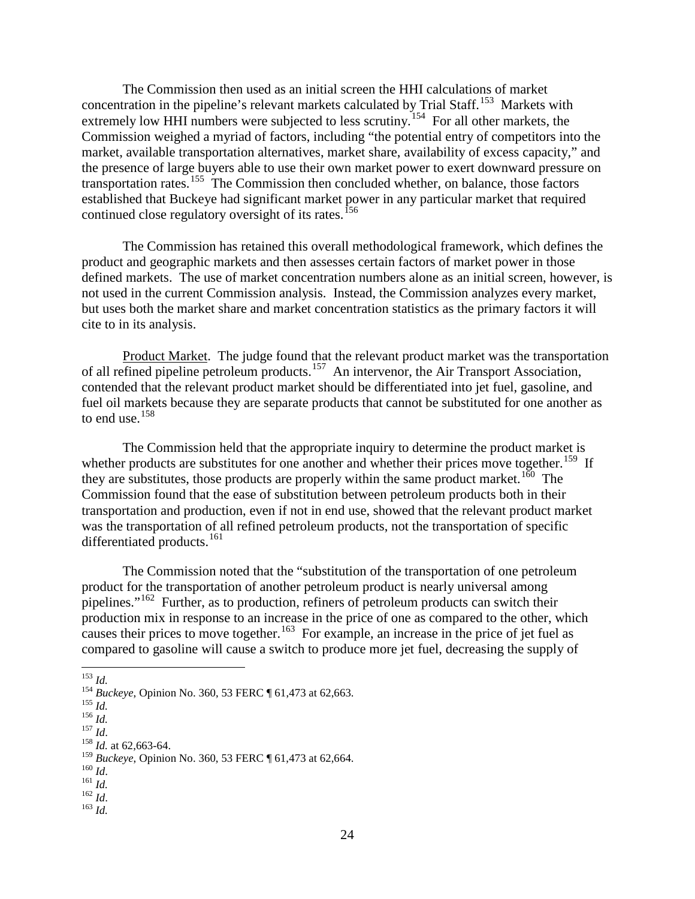The Commission then used as an initial screen the HHI calculations of market concentration in the pipeline's relevant markets calculated by Trial Staff.<sup>[153](#page-3-0)</sup> Markets with extremely low HHI numbers were subjected to less scrutiny.<sup>[154](#page-3-1)</sup> For all other markets, the Commission weighed a myriad of factors, including "the potential entry of competitors into the market, available transportation alternatives, market share, availability of excess capacity," and the presence of large buyers able to use their own market power to exert downward pressure on transportation rates.<sup>[155](#page-3-2)</sup> The Commission then concluded whether, on balance, those factors established that Buckeye had significant market power in any particular market that required continued close regulatory oversight of its rates.<sup>156</sup>

The Commission has retained this overall methodological framework, which defines the product and geographic markets and then assesses certain factors of market power in those defined markets. The use of market concentration numbers alone as an initial screen, however, is not used in the current Commission analysis. Instead, the Commission analyzes every market, but uses both the market share and market concentration statistics as the primary factors it will cite to in its analysis.

Product Market. The judge found that the relevant product market was the transportation of all refined pipeline petroleum products.<sup>[157](#page-3-4)</sup> An intervenor, the Air Transport Association, contended that the relevant product market should be differentiated into jet fuel, gasoline, and fuel oil markets because they are separate products that cannot be substituted for one another as to end use. $158$ 

The Commission held that the appropriate inquiry to determine the product market is whether products are substitutes for one another and whether their prices move together.<sup>[159](#page-3-6)</sup> If they are substitutes, those products are properly within the same product market.<sup>160</sup> The Commission found that the ease of substitution between petroleum products both in their transportation and production, even if not in end use, showed that the relevant product market was the transportation of all refined petroleum products, not the transportation of specific differentiated products.<sup>161</sup>

The Commission noted that the "substitution of the transportation of one petroleum product for the transportation of another petroleum product is nearly universal among pipelines."<sup>[162](#page-3-9)</sup> Further, as to production, refiners of petroleum products can switch their production mix in response to an increase in the price of one as compared to the other, which causes their prices to move together.<sup>[163](#page-3-10)</sup> For example, an increase in the price of jet fuel as compared to gasoline will cause a switch to produce more jet fuel, decreasing the supply of

<span id="page-3-10"></span>

<span id="page-3-1"></span><span id="page-3-0"></span><sup>153</sup> *Id.*<br>
154 *Buckeye*, Opinion No. 360, 53 FERC ¶ 61,473 at 62,663.<br>
155 *Id.*<br>
157 *Id.*<br>
158 *Id.* at 62,663-64.

<span id="page-3-3"></span><span id="page-3-2"></span>

<span id="page-3-4"></span>

<span id="page-3-6"></span><span id="page-3-5"></span><sup>&</sup>lt;sup>159</sup> *Buckeye*, Opinion No. 360, 53 FERC ¶ 61,473 at 62,664.<br><sup>160</sup> *Id.* 161 *Id.* 162 *Id.* 162 *Id.* 163 *Id*.

<span id="page-3-7"></span>

<span id="page-3-9"></span><span id="page-3-8"></span>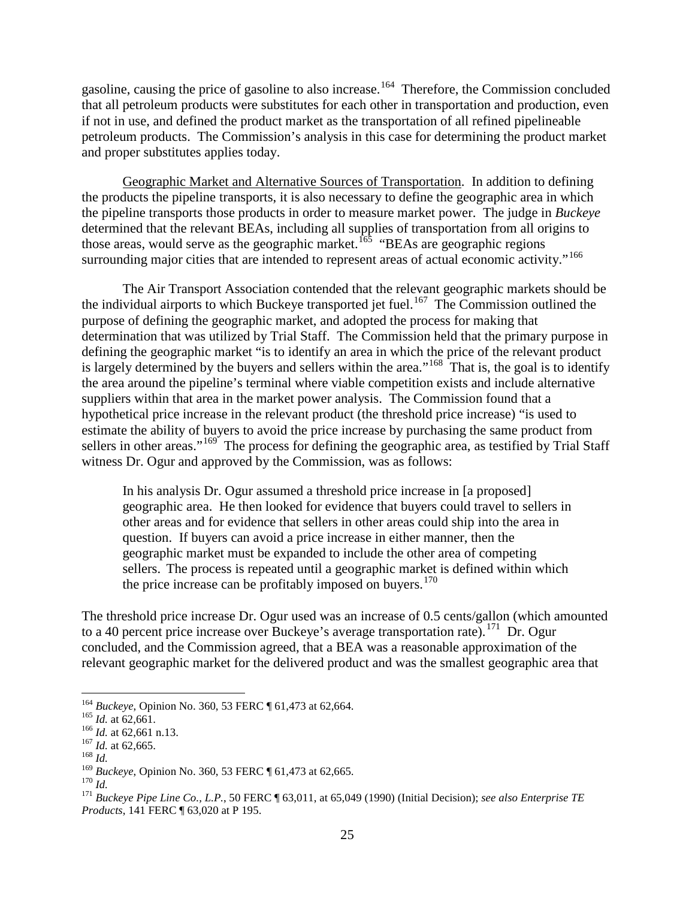gasoline, causing the price of gasoline to also increase.<sup>164</sup> Therefore, the Commission concluded that all petroleum products were substitutes for each other in transportation and production, even if not in use, and defined the product market as the transportation of all refined pipelineable petroleum products. The Commission's analysis in this case for determining the product market and proper substitutes applies today.

Geographic Market and Alternative Sources of Transportation. In addition to defining the products the pipeline transports, it is also necessary to define the geographic area in which the pipeline transports those products in order to measure market power. The judge in *Buckeye*  determined that the relevant BEAs, including all supplies of transportation from all origins to those areas, would serve as the geographic market.<sup>[165](#page-4-1)</sup> "BEAs are geographic regions" surrounding major cities that are intended to represent areas of actual economic activity."<sup>166</sup>

The Air Transport Association contended that the relevant geographic markets should be the individual airports to which Buckeye transported jet fuel.<sup>[167](#page-4-3)</sup> The Commission outlined the purpose of defining the geographic market, and adopted the process for making that determination that was utilized by Trial Staff. The Commission held that the primary purpose in defining the geographic market "is to identify an area in which the price of the relevant product is largely determined by the buyers and sellers within the area."<sup>[168](#page-4-4)</sup> That is, the goal is to identify the area around the pipeline's terminal where viable competition exists and include alternative suppliers within that area in the market power analysis. The Commission found that a hypothetical price increase in the relevant product (the threshold price increase) "is used to estimate the ability of buyers to avoid the price increase by purchasing the same product from sellers in other areas."<sup>[169](#page-4-5)</sup> The process for defining the geographic area, as testified by Trial Staff witness Dr. Ogur and approved by the Commission, was as follows:

In his analysis Dr. Ogur assumed a threshold price increase in [a proposed] geographic area. He then looked for evidence that buyers could travel to sellers in other areas and for evidence that sellers in other areas could ship into the area in question. If buyers can avoid a price increase in either manner, then the geographic market must be expanded to include the other area of competing sellers. The process is repeated until a geographic market is defined within which the price increase can be profitably imposed on buyers.<sup>[170](#page-4-6)</sup>

The threshold price increase Dr. Ogur used was an increase of 0.5 cents/gallon (which amounted to a 40 percent price increase over Buckeye's average transportation rate).<sup>[171](#page-4-7)</sup> Dr. Ogur concluded, and the Commission agreed, that a BEA was a reasonable approximation of the relevant geographic market for the delivered product and was the smallest geographic area that

<span id="page-4-1"></span><span id="page-4-0"></span><sup>&</sup>lt;sup>164</sup> *Buckeye*, Opinion No. 360, 53 FERC ¶ 61,473 at 62,664.<br><sup>165</sup> *Id.* at 62,661 n.13.<br><sup>167</sup> *Id.* at 62,665.<br><sup>168</sup> *Id.*<br><sup>169</sup> *Buckeye*, Opinion No. 360, 53 FERC ¶ 61,473 at 62,665.

<span id="page-4-2"></span>

<span id="page-4-4"></span><span id="page-4-3"></span>

<span id="page-4-7"></span>

<span id="page-4-6"></span><span id="page-4-5"></span><sup>169</sup> *Buckeye*, Opinion No. 360, 53 FERC ¶ 61,473 at 62,665. <sup>170</sup> *Id.* <sup>171</sup> *Buckeye Pipe Line Co., L.P.*, 50 FERC ¶ 63,011, at 65,049 (1990) (Initial Decision); *see also Enterprise TE Products*, 141 FERC ¶ 63,020 at P 195.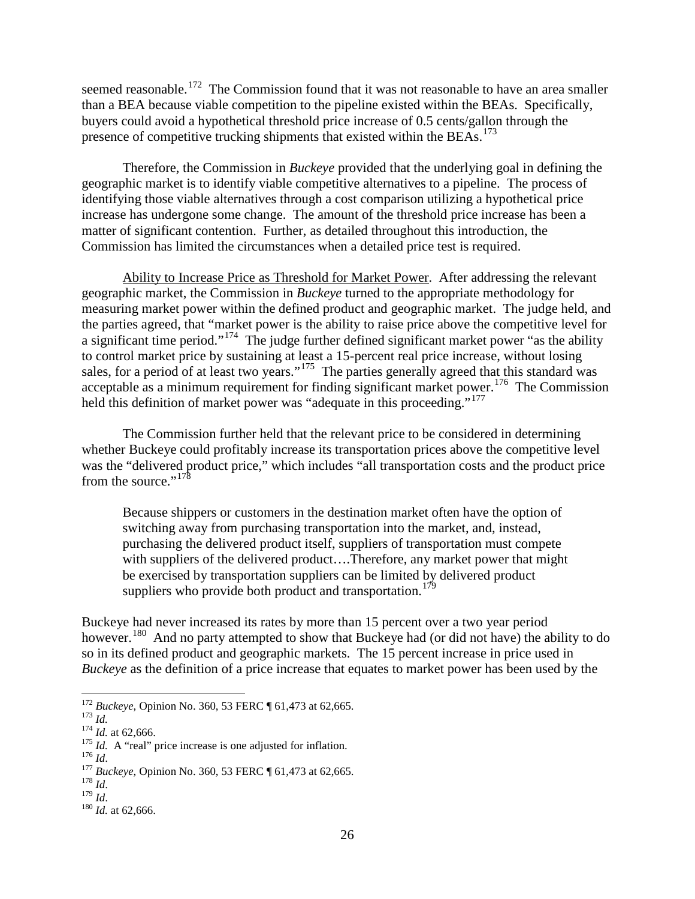seemed reasonable.<sup>[172](#page-5-0)</sup> The Commission found that it was not reasonable to have an area smaller than a BEA because viable competition to the pipeline existed within the BEAs. Specifically, buyers could avoid a hypothetical threshold price increase of 0.5 cents/gallon through the presence of competitive trucking shipments that existed within the BEAs.<sup>[173](#page-5-1)</sup>

Therefore, the Commission in *Buckeye* provided that the underlying goal in defining the geographic market is to identify viable competitive alternatives to a pipeline. The process of identifying those viable alternatives through a cost comparison utilizing a hypothetical price increase has undergone some change. The amount of the threshold price increase has been a matter of significant contention. Further, as detailed throughout this introduction, the Commission has limited the circumstances when a detailed price test is required.

Ability to Increase Price as Threshold for Market Power. After addressing the relevant geographic market, the Commission in *Buckeye* turned to the appropriate methodology for measuring market power within the defined product and geographic market. The judge held, and the parties agreed, that "market power is the ability to raise price above the competitive level for a significant time period."<sup>[174](#page-5-2)</sup> The judge further defined significant market power "as the ability to control market price by sustaining at least a 15-percent real price increase, without losing sales, for a period of at least two years."<sup>[175](#page-5-3)</sup> The parties generally agreed that this standard was acceptable as a minimum requirement for finding significant market power.<sup>[176](#page-5-4)</sup> The Commission held this definition of market power was "adequate in this proceeding."<sup>177</sup>

The Commission further held that the relevant price to be considered in determining whether Buckeye could profitably increase its transportation prices above the competitive level was the "delivered product price," which includes "all transportation costs and the product price from the source." $178$ 

Because shippers or customers in the destination market often have the option of switching away from purchasing transportation into the market, and, instead, purchasing the delivered product itself, suppliers of transportation must compete with suppliers of the delivered product….Therefore, any market power that might be exercised by transportation suppliers can be limited by delivered product suppliers who provide both product and transportation.<sup>[179](#page-5-7)</sup>

Buckeye had never increased its rates by more than 15 percent over a two year period however.<sup>[180](#page-5-8)</sup> And no party attempted to show that Buckeye had (or did not have) the ability to do so in its defined product and geographic markets. The 15 percent increase in price used in *Buckeye* as the definition of a price increase that equates to market power has been used by the

<span id="page-5-2"></span>

<span id="page-5-3"></span>

<span id="page-5-5"></span><span id="page-5-4"></span>

<span id="page-5-1"></span><span id="page-5-0"></span><sup>&</sup>lt;sup>172</sup> Buckeye, Opinion No. 360, 53 FERC ¶ 61,473 at 62,665.<br><sup>173</sup> Id.<br><sup>174</sup> Id. at 62,666.<br><sup>175</sup> Id. A "real" price increase is one adjusted for inflation.<br><sup>176</sup> Id.<br><sup>176</sup> Id.<br><sup>176</sup> Buckeye, Opinion No. 360, 53 FERC ¶ 61,

<span id="page-5-7"></span><span id="page-5-6"></span>

<span id="page-5-8"></span>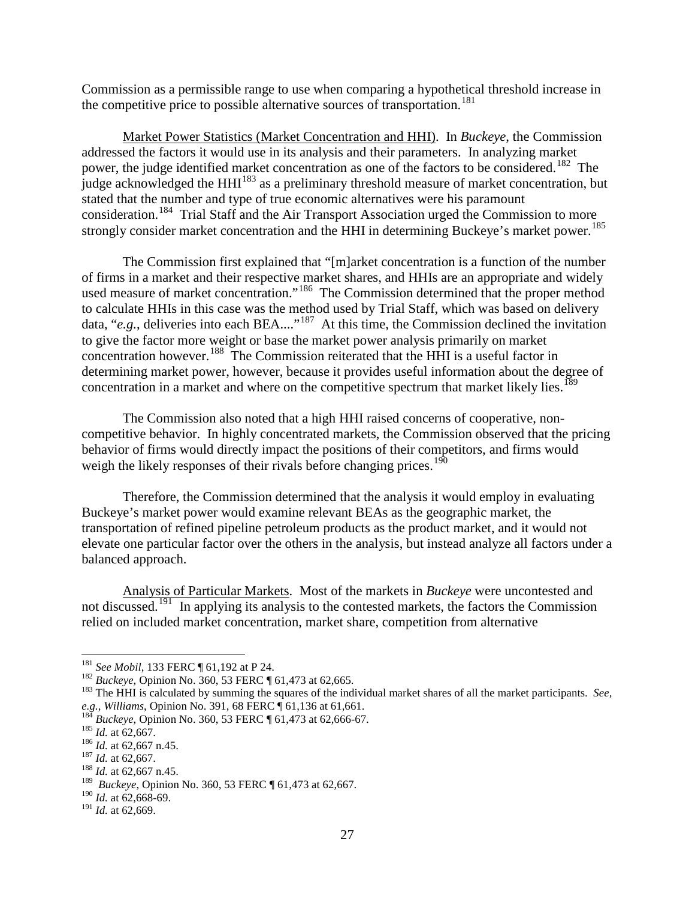Commission as a permissible range to use when comparing a hypothetical threshold increase in the competitive price to possible alternative sources of transportation. [181](#page-6-0)

Market Power Statistics (Market Concentration and HHI). In *Buckeye*, the Commission addressed the factors it would use in its analysis and their parameters. In analyzing market power, the judge identified market concentration as one of the factors to be considered.<sup>182</sup> The judge acknowledged the HHI<sup>[183](#page-6-2)</sup> as a preliminary threshold measure of market concentration, but stated that the number and type of true economic alternatives were his paramount consideration.[184](#page-6-3) Trial Staff and the Air Transport Association urged the Commission to more strongly consider market concentration and the HHI in determining Buckeye's market power.<sup>185</sup>

The Commission first explained that "[m]arket concentration is a function of the number of firms in a market and their respective market shares, and HHIs are an appropriate and widely used measure of market concentration."<sup>186</sup> The Commission determined that the proper method to calculate HHIs in this case was the method used by Trial Staff, which was based on delivery data, "*e.g.*, deliveries into each BEA...."<sup>[187](#page-6-6)</sup> At this time, the Commission declined the invitation to give the factor more weight or base the market power analysis primarily on market concentration however. [188](#page-6-7) The Commission reiterated that the HHI is a useful factor in determining market power, however, because it provides useful information about the degree of concentration in a market and where on the competitive spectrum that market likely lies.<sup>[189](#page-6-8)</sup>

The Commission also noted that a high HHI raised concerns of cooperative, noncompetitive behavior. In highly concentrated markets, the Commission observed that the pricing behavior of firms would directly impact the positions of their competitors, and firms would weigh the likely responses of their rivals before changing prices.<sup>190</sup>

Therefore, the Commission determined that the analysis it would employ in evaluating Buckeye's market power would examine relevant BEAs as the geographic market, the transportation of refined pipeline petroleum products as the product market, and it would not elevate one particular factor over the others in the analysis, but instead analyze all factors under a balanced approach.

Analysis of Particular Markets. Most of the markets in *Buckeye* were uncontested and not discussed.<sup>[191](#page-6-10)</sup> In applying its analysis to the contested markets, the factors the Commission relied on included market concentration, market share, competition from alternative

<span id="page-6-2"></span>

<span id="page-6-1"></span><span id="page-6-0"></span><sup>&</sup>lt;sup>181</sup> See Mobil, 133 FERC ¶ 61,192 at P 24.<br><sup>182</sup> Buckeye, Opinion No. 360, 53 FERC ¶ 61,473 at 62,665.<br><sup>183</sup> The HHI is calculated by summing the squares of the individual market shares of all the market participants. *S* e.g., Williams, Opinion No. 391, 68 FERC  $\P$  61,136 at 61,661.<br><sup>184</sup> Buckeye, Opinion No. 360, 53 FERC  $\P$  61,473 at 62,666-67.<br><sup>185</sup> Id. at 62,667.<br><sup>186</sup> Id. at 62,667 n.45.<br><sup>187</sup> Id. at 62,667.<br><sup>188</sup> Id. at 62,667.

<span id="page-6-3"></span>

<span id="page-6-4"></span>

<span id="page-6-5"></span>

<span id="page-6-6"></span>

<span id="page-6-8"></span><span id="page-6-7"></span><sup>189</sup> *Buckeye*, Opinion No. 360, 53 FERC ¶ 61,473 at 62,667.

<sup>190</sup> *Id.* at 62,668-69.

<span id="page-6-10"></span><span id="page-6-9"></span><sup>191</sup> *Id.* at 62,669.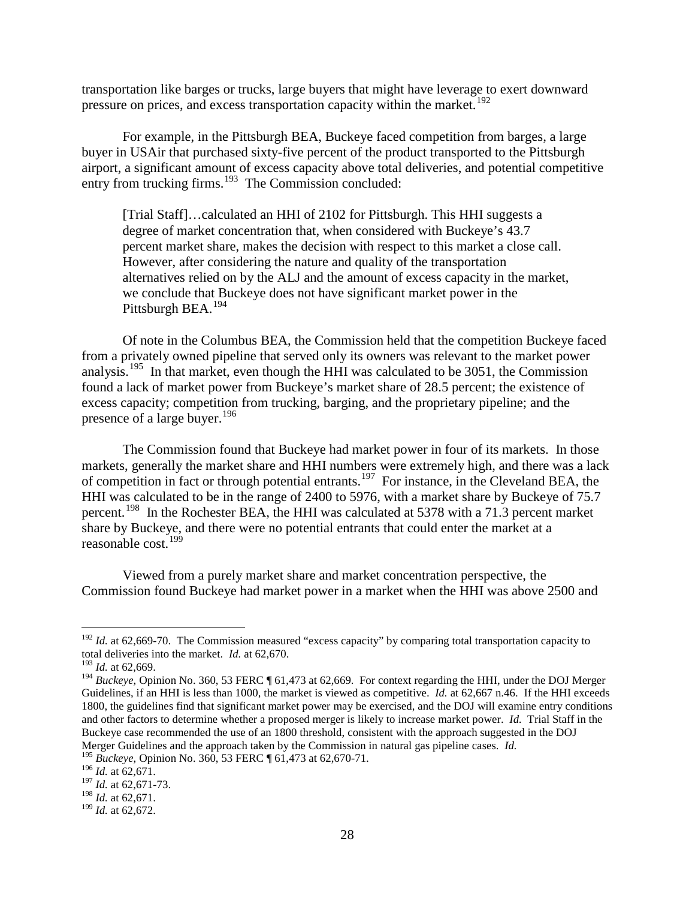transportation like barges or trucks, large buyers that might have leverage to exert downward pressure on prices, and excess transportation capacity within the market.<sup>[192](#page-7-0)</sup>

For example, in the Pittsburgh BEA, Buckeye faced competition from barges, a large buyer in USAir that purchased sixty-five percent of the product transported to the Pittsburgh airport, a significant amount of excess capacity above total deliveries, and potential competitive entry from trucking firms.<sup>[193](#page-7-1)</sup> The Commission concluded:

[Trial Staff]...calculated an HHI of 2102 for Pittsburgh. This HHI suggests a degree of market concentration that, when considered with Buckeye's 43.7 percent market share, makes the decision with respect to this market a close call. However, after considering the nature and quality of the transportation alternatives relied on by the ALJ and the amount of excess capacity in the market, we conclude that Buckeye does not have significant market power in the Pittsburgh BEA.<sup>[194](#page-7-2)</sup>

Of note in the Columbus BEA, the Commission held that the competition Buckeye faced from a privately owned pipeline that served only its owners was relevant to the market power analysis.<sup>[195](#page-7-3)</sup> In that market, even though the HHI was calculated to be 3051, the Commission found a lack of market power from Buckeye's market share of 28.5 percent; the existence of excess capacity; competition from trucking, barging, and the proprietary pipeline; and the presence of a large buyer.<sup>[196](#page-7-4)</sup>

The Commission found that Buckeye had market power in four of its markets. In those markets, generally the market share and HHI numbers were extremely high, and there was a lack of competition in fact or through potential entrants.<sup>197</sup> For instance, in the Cleveland BEA, the HHI was calculated to be in the range of 2400 to 5976, with a market share by Buckeye of 75.7 percent.<sup>[198](#page-7-6)</sup> In the Rochester BEA, the HHI was calculated at 5378 with a 71.3 percent market share by Buckeye, and there were no potential entrants that could enter the market at a reasonable cost.<sup>[199](#page-7-7)</sup>

Viewed from a purely market share and market concentration perspective, the Commission found Buckeye had market power in a market when the HHI was above 2500 and

<span id="page-7-0"></span><sup>&</sup>lt;sup>192</sup> *Id.* at 62,669-70. The Commission measured "excess capacity" by comparing total transportation capacity to total deliveries into the market. *Id.* at 62,670.

<span id="page-7-1"></span><sup>193</sup> *Id.* at 62,669.

<span id="page-7-2"></span><sup>&</sup>lt;sup>194</sup> *Buckeye*, Opinion No. 360, 53 FERC ¶ 61,473 at 62,669. For context regarding the HHI, under the DOJ Merger Guidelines, if an HHI is less than 1000, the market is viewed as competitive. *Id.* at 62,667 n.46. If the HHI exceeds 1800, the guidelines find that significant market power may be exercised, and the DOJ will examine entry conditions and other factors to determine whether a proposed merger is likely to increase market power. *Id.* Trial Staff in the Buckeye case recommended the use of an 1800 threshold, consistent with the approach suggested in the DOJ Merger Guidelines and the approach taken by the Commission in natural gas pipeline cases. *Id.*

<sup>195</sup> *Buckeye*, Opinion No. 360, 53 FERC ¶ 61,473 at 62,670-71.

<span id="page-7-4"></span><span id="page-7-3"></span><sup>196</sup> *Id.* at 62,671.

<sup>197</sup> *Id.* at 62,671-73.

<span id="page-7-6"></span><span id="page-7-5"></span><sup>198</sup> *Id.* at 62,671.

<span id="page-7-7"></span><sup>199</sup> *Id.* at 62,672.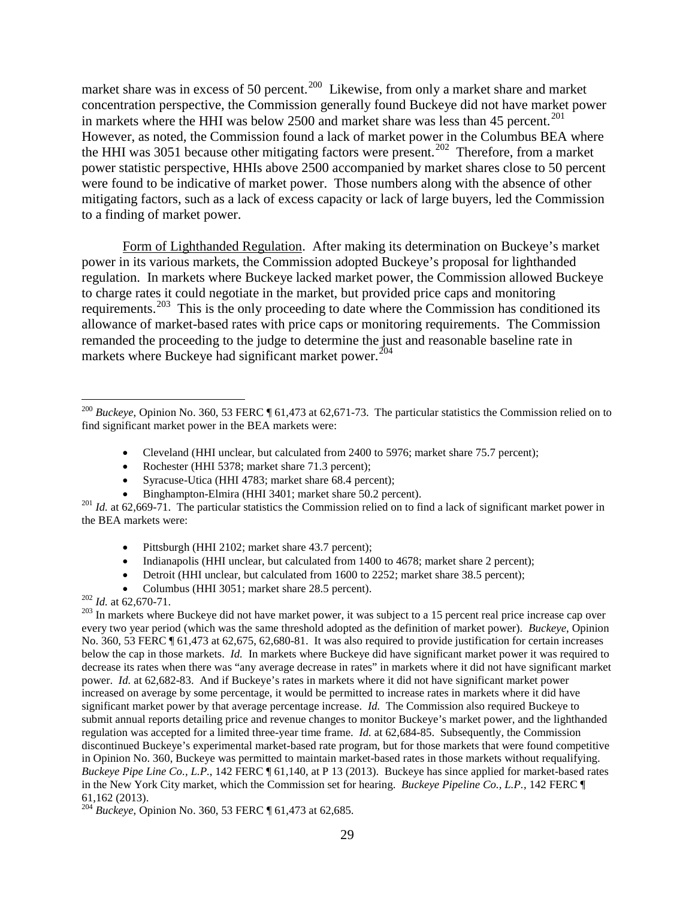market share was in excess of 50 percent.<sup>[200](#page-8-0)</sup> Likewise, from only a market share and market concentration perspective, the Commission generally found Buckeye did not have market power in markets where the HHI was below 2500 and market share was less than 45 percent.<sup>[201](#page-8-1)</sup> However, as noted, the Commission found a lack of market power in the Columbus BEA where the HHI was 3051 because other mitigating factors were present.<sup>[202](#page-8-2)</sup> Therefore, from a market power statistic perspective, HHIs above 2500 accompanied by market shares close to 50 percent were found to be indicative of market power. Those numbers along with the absence of other mitigating factors, such as a lack of excess capacity or lack of large buyers, led the Commission to a finding of market power.

Form of Lighthanded Regulation. After making its determination on Buckeye's market power in its various markets, the Commission adopted Buckeye's proposal for lighthanded regulation. In markets where Buckeye lacked market power, the Commission allowed Buckeye to charge rates it could negotiate in the market, but provided price caps and monitoring requirements.<sup>[203](#page-8-3)</sup> This is the only proceeding to date where the Commission has conditioned its allowance of market-based rates with price caps or monitoring requirements. The Commission remanded the proceeding to the judge to determine the just and reasonable baseline rate in markets where Buckeye had significant market power.<sup>[204](#page-8-4)</sup>

- Cleveland (HHI unclear, but calculated from 2400 to 5976; market share 75.7 percent);
- Rochester (HHI 5378; market share 71.3 percent);
- Syracuse-Utica (HHI 4783; market share 68.4 percent);
- 

- Pittsburgh (HHI 2102; market share 43.7 percent);
- Indianapolis (HHI unclear, but calculated from 1400 to 4678; market share 2 percent);
- Detroit (HHI unclear, but calculated from 1600 to 2252; market share 38.5 percent);
- 
- <span id="page-8-3"></span>

<span id="page-8-0"></span> <sup>200</sup> *Buckeye*, Opinion No. 360, 53 FERC ¶ 61,473 at 62,671-73. The particular statistics the Commission relied on to find significant market power in the BEA markets were:

<span id="page-8-1"></span><sup>•</sup> Binghampton-Elmira (HHI 3401; market share 50.2 percent).<br><sup>201</sup> *Id.* at 62,669-71. The particular statistics the Commission relied on to find a lack of significant market power in the BEA markets were:

<span id="page-8-2"></span><sup>•</sup> Columbus (HHI 3051; market share 28.5 percent).<br><sup>202</sup> *Id.* at 62,670-71.<br><sup>202</sup> In markets where Buckeye did not have market power, it was subject to a 15 percent real price increase cap over every two year period (which was the same threshold adopted as the definition of market power). *Buckeye*, Opinion No. 360, 53 FERC ¶ 61,473 at 62,675, 62,680-81. It was also required to provide justification for certain increases below the cap in those markets. *Id.* In markets where Buckeye did have significant market power it was required to decrease its rates when there was "any average decrease in rates" in markets where it did not have significant market power. *Id.* at 62,682-83. And if Buckeye's rates in markets where it did not have significant market power increased on average by some percentage, it would be permitted to increase rates in markets where it did have significant market power by that average percentage increase. *Id.* The Commission also required Buckeye to submit annual reports detailing price and revenue changes to monitor Buckeye's market power, and the lighthanded regulation was accepted for a limited three-year time frame. *Id.* at 62,684-85. Subsequently, the Commission discontinued Buckeye's experimental market-based rate program, but for those markets that were found competitive in Opinion No. 360, Buckeye was permitted to maintain market-based rates in those markets without requalifying. *Buckeye Pipe Line Co., L.P.*, 142 FERC ¶ 61,140, at P 13 (2013). Buckeye has since applied for market-based rates in the New York City market, which the Commission set for hearing. *Buckeye Pipeline Co., L.P.*, 142 FERC ¶ 61,162 (2013). 204 *Buckeye*, Opinion No. 360, 53 FERC ¶ 61,473 at 62,685.

<span id="page-8-4"></span>